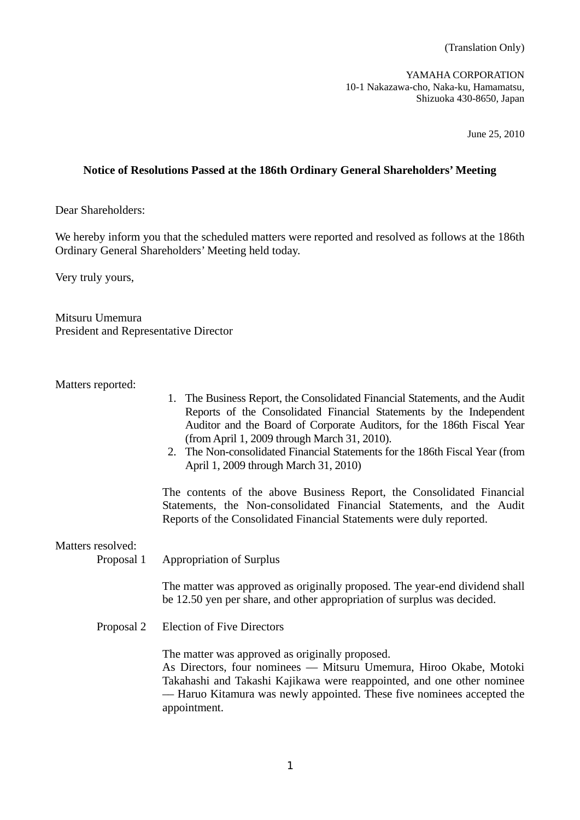(Translation Only)

YAMAHA CORPORATION 10-1 Nakazawa-cho, Naka-ku, Hamamatsu, Shizuoka 430-8650, Japan

June 25, 2010

## **Notice of Resolutions Passed at the 186th Ordinary General Shareholders' Meeting**

Dear Shareholders:

We hereby inform you that the scheduled matters were reported and resolved as follows at the 186th Ordinary General Shareholders' Meeting held today.

Very truly yours,

Mitsuru Umemura President and Representative Director

Matters reported:

- 1. The Business Report, the Consolidated Financial Statements, and the Audit Reports of the Consolidated Financial Statements by the Independent Auditor and the Board of Corporate Auditors, for the 186th Fiscal Year (from April 1, 2009 through March 31, 2010).
- 2. The Non-consolidated Financial Statements for the 186th Fiscal Year (from April 1, 2009 through March 31, 2010)

 The contents of the above Business Report, the Consolidated Financial Statements, the Non-consolidated Financial Statements, and the Audit Reports of the Consolidated Financial Statements were duly reported.

Matters resolved:

Proposal 1 Appropriation of Surplus

 The matter was approved as originally proposed. The year-end dividend shall be 12.50 yen per share, and other appropriation of surplus was decided.

Proposal 2 Election of Five Directors

The matter was approved as originally proposed.

 As Directors, four nominees –– Mitsuru Umemura, Hiroo Okabe, Motoki Takahashi and Takashi Kajikawa were reappointed, and one other nominee –– Haruo Kitamura was newly appointed. These five nominees accepted the appointment.